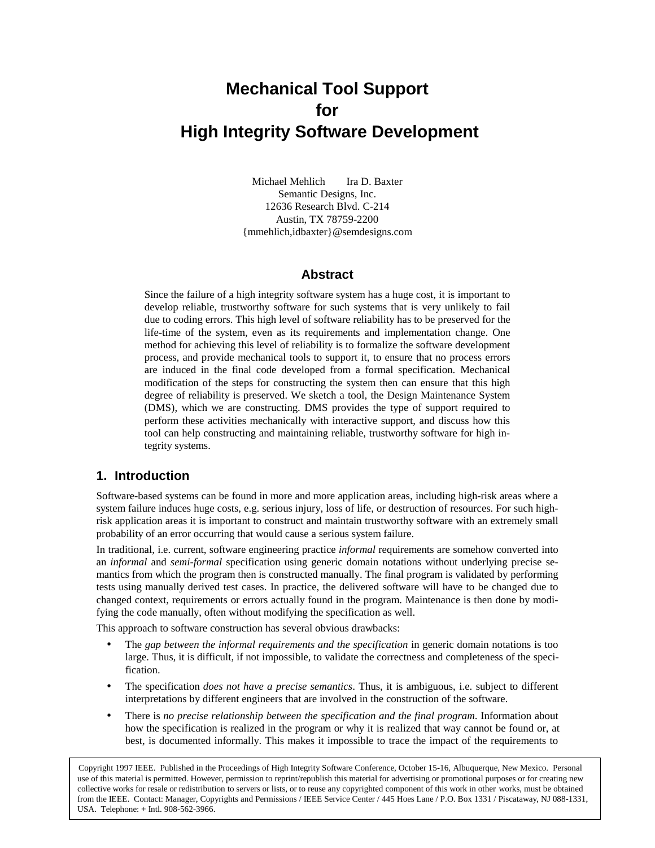# **Mechanical Tool Support for High Integrity Software Development**

Michael Mehlich Ira D. Baxter Semantic Designs, Inc. 12636 Research Blvd. C-214 Austin, TX 78759-2200 {mmehlich,idbaxter}@semdesigns.com

#### **Abstract**

Since the failure of a high integrity software system has a huge cost, it is important to develop reliable, trustworthy software for such systems that is very unlikely to fail due to coding errors. This high level of software reliability has to be preserved for the life-time of the system, even as its requirements and implementation change. One method for achieving this level of reliability is to formalize the software development process, and provide mechanical tools to support it, to ensure that no process errors are induced in the final code developed from a formal specification. Mechanical modification of the steps for constructing the system then can ensure that this high degree of reliability is preserved. We sketch a tool, the Design Maintenance System (DMS), which we are constructing. DMS provides the type of support required to perform these activities mechanically with interactive support, and discuss how this tool can help constructing and maintaining reliable, trustworthy software for high integrity systems.

#### **1. Introduction**

Software-based systems can be found in more and more application areas, including high-risk areas where a system failure induces huge costs, e.g. serious injury, loss of life, or destruction of resources. For such highrisk application areas it is important to construct and maintain trustworthy software with an extremely small probability of an error occurring that would cause a serious system failure.

In traditional, i.e. current, software engineering practice *informal* requirements are somehow converted into an *informal* and *semi-formal* specification using generic domain notations without underlying precise semantics from which the program then is constructed manually. The final program is validated by performing tests using manually derived test cases. In practice, the delivered software will have to be changed due to changed context, requirements or errors actually found in the program. Maintenance is then done by modifying the code manually, often without modifying the specification as well.

This approach to software construction has several obvious drawbacks:

- The *gap between the informal requirements and the specification* in generic domain notations is too large. Thus, it is difficult, if not impossible, to validate the correctness and completeness of the specification.
- The specification *does not have a precise semantics*. Thus, it is ambiguous, i.e. subject to different interpretations by different engineers that are involved in the construction of the software.
- There is *no precise relationship between the specification and the final program*. Information about how the specification is realized in the program or why it is realized that way cannot be found or, at best, is documented informally. This makes it impossible to trace the impact of the requirements to

Copyright 1997 IEEE. Published in the Proceedings of High Integrity Software Conference, October 15-16, Albuquerque, New Mexico. Personal use of this material is permitted. However, permission to reprint/republish this material for advertising or promotional purposes or for creating new collective works for resale or redistribution to servers or lists, or to reuse any copyrighted component of this work in other works, must be obtained from the IEEE. Contact: Manager, Copyrights and Permissions / IEEE Service Center / 445 Hoes Lane / P.O. Box 1331 / Piscataway, NJ 088-1331, USA. Telephone: + Intl. 908-562-3966.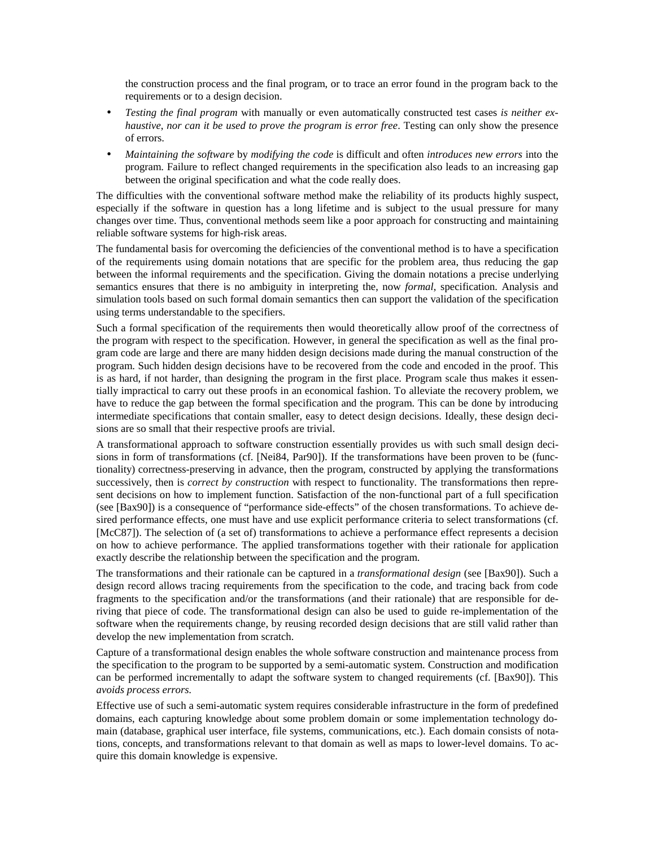the construction process and the final program, or to trace an error found in the program back to the requirements or to a design decision.

- *Testing the final program* with manually or even automatically constructed test cases *is neither exhaustive*, *nor can it be used to prove the program is error free*. Testing can only show the presence of errors.
- *Maintaining the software* by *modifying the code* is difficult and often *introduces new errors* into the program. Failure to reflect changed requirements in the specification also leads to an increasing gap between the original specification and what the code really does.

The difficulties with the conventional software method make the reliability of its products highly suspect, especially if the software in question has a long lifetime and is subject to the usual pressure for many changes over time. Thus, conventional methods seem like a poor approach for constructing and maintaining reliable software systems for high-risk areas.

The fundamental basis for overcoming the deficiencies of the conventional method is to have a specification of the requirements using domain notations that are specific for the problem area, thus reducing the gap between the informal requirements and the specification. Giving the domain notations a precise underlying semantics ensures that there is no ambiguity in interpreting the, now *formal*, specification. Analysis and simulation tools based on such formal domain semantics then can support the validation of the specification using terms understandable to the specifiers.

Such a formal specification of the requirements then would theoretically allow proof of the correctness of the program with respect to the specification. However, in general the specification as well as the final program code are large and there are many hidden design decisions made during the manual construction of the program. Such hidden design decisions have to be recovered from the code and encoded in the proof. This is as hard, if not harder, than designing the program in the first place. Program scale thus makes it essentially impractical to carry out these proofs in an economical fashion. To alleviate the recovery problem, we have to reduce the gap between the formal specification and the program. This can be done by introducing intermediate specifications that contain smaller, easy to detect design decisions. Ideally, these design decisions are so small that their respective proofs are trivial.

A transformational approach to software construction essentially provides us with such small design decisions in form of transformations (cf. [Nei84, Par90]). If the transformations have been proven to be (functionality) correctness-preserving in advance, then the program, constructed by applying the transformations successively, then is *correct by construction* with respect to functionality. The transformations then represent decisions on how to implement function. Satisfaction of the non-functional part of a full specification (see [Bax90]) is a consequence of "performance side-effects" of the chosen transformations. To achieve desired performance effects, one must have and use explicit performance criteria to select transformations (cf. [McC87]). The selection of (a set of) transformations to achieve a performance effect represents a decision on how to achieve performance. The applied transformations together with their rationale for application exactly describe the relationship between the specification and the program.

The transformations and their rationale can be captured in a *transformational design* (see [Bax90]). Such a design record allows tracing requirements from the specification to the code, and tracing back from code fragments to the specification and/or the transformations (and their rationale) that are responsible for deriving that piece of code. The transformational design can also be used to guide re-implementation of the software when the requirements change, by reusing recorded design decisions that are still valid rather than develop the new implementation from scratch.

Capture of a transformational design enables the whole software construction and maintenance process from the specification to the program to be supported by a semi-automatic system. Construction and modification can be performed incrementally to adapt the software system to changed requirements (cf. [Bax90]). This *avoids process errors*.

Effective use of such a semi-automatic system requires considerable infrastructure in the form of predefined domains, each capturing knowledge about some problem domain or some implementation technology domain (database, graphical user interface, file systems, communications, etc.). Each domain consists of notations, concepts, and transformations relevant to that domain as well as maps to lower-level domains. To acquire this domain knowledge is expensive.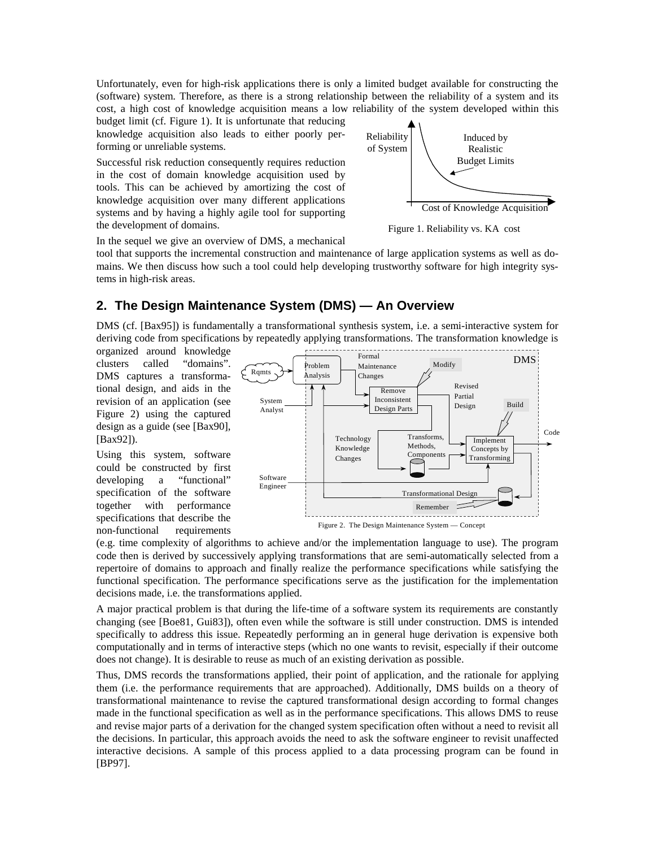Unfortunately, even for high-risk applications there is only a limited budget available for constructing the (software) system. Therefore, as there is a strong relationship between the reliability of a system and its cost, a high cost of knowledge acquisition means a low reliability of the system developed within this

budget limit (cf. Figure 1). It is unfortunate that reducing knowledge acquisition also leads to either poorly performing or unreliable systems.

Successful risk reduction consequently requires reduction in the cost of domain knowledge acquisition used by tools. This can be achieved by amortizing the cost of knowledge acquisition over many different applications systems and by having a highly agile tool for supporting the development of domains.



Figure 1. Reliability vs. KA cost

In the sequel we give an overview of DMS, a mechanical

tool that supports the incremental construction and maintenance of large application systems as well as domains. We then discuss how such a tool could help developing trustworthy software for high integrity systems in high-risk areas.

## **2. The Design Maintenance System (DMS) — An Overview**

DMS (cf. [Bax95]) is fundamentally a transformational synthesis system, i.e. a semi-interactive system for deriving code from specifications by repeatedly applying transformations. The transformation knowledge is

organized around knowledge clusters called "domains". DMS captures a transformational design, and aids in the revision of an application (see Figure 2) using the captured design as a guide (see [Bax90], [Bax92]).

Using this system, software could be constructed by first developing a "functional" specification of the software together with performance specifications that describe the non-functional requirements



(e.g. time complexity of algorithms to achieve and/or the implementation language to use). The program code then is derived by successively applying transformations that are semi-automatically selected from a repertoire of domains to approach and finally realize the performance specifications while satisfying the functional specification. The performance specifications serve as the justification for the implementation decisions made, i.e. the transformations applied.

A major practical problem is that during the life-time of a software system its requirements are constantly changing (see [Boe81, Gui83]), often even while the software is still under construction. DMS is intended specifically to address this issue. Repeatedly performing an in general huge derivation is expensive both computationally and in terms of interactive steps (which no one wants to revisit, especially if their outcome does not change). It is desirable to reuse as much of an existing derivation as possible.

Thus, DMS records the transformations applied, their point of application, and the rationale for applying them (i.e. the performance requirements that are approached). Additionally, DMS builds on a theory of transformational maintenance to revise the captured transformational design according to formal changes made in the functional specification as well as in the performance specifications. This allows DMS to reuse and revise major parts of a derivation for the changed system specification often without a need to revisit all the decisions. In particular, this approach avoids the need to ask the software engineer to revisit unaffected interactive decisions. A sample of this process applied to a data processing program can be found in [BP97].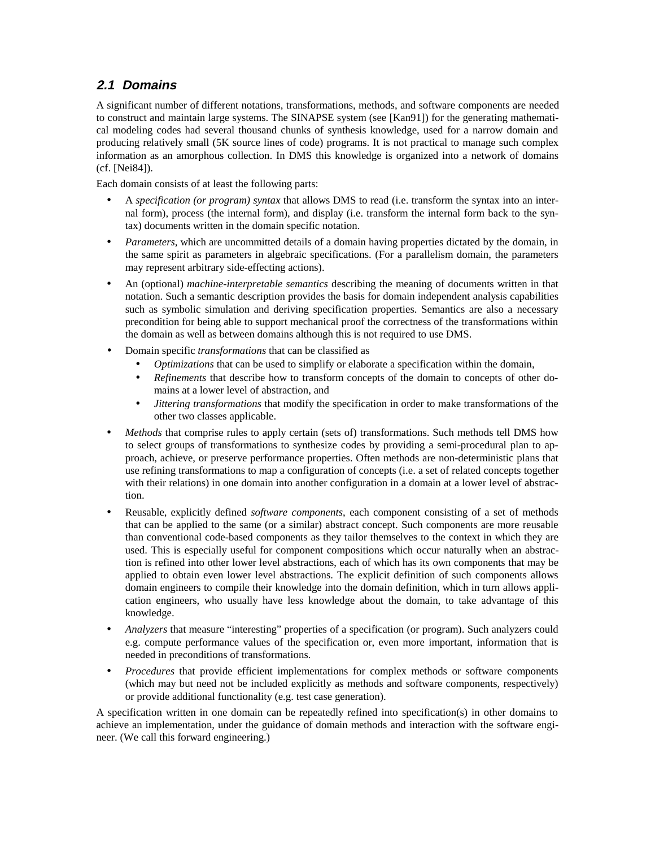# **2.1 Domains**

A significant number of different notations, transformations, methods, and software components are needed to construct and maintain large systems. The SINAPSE system (see [Kan91]) for the generating mathematical modeling codes had several thousand chunks of synthesis knowledge, used for a narrow domain and producing relatively small (5K source lines of code) programs. It is not practical to manage such complex information as an amorphous collection. In DMS this knowledge is organized into a network of domains (cf. [Nei84]).

Each domain consists of at least the following parts:

- A *specification (or program) syntax* that allows DMS to read (i.e. transform the syntax into an internal form), process (the internal form), and display (i.e. transform the internal form back to the syntax) documents written in the domain specific notation.
- *Parameters*, which are uncommitted details of a domain having properties dictated by the domain, in the same spirit as parameters in algebraic specifications. (For a parallelism domain, the parameters may represent arbitrary side-effecting actions).
- An (optional) *machine-interpretable semantics* describing the meaning of documents written in that notation. Such a semantic description provides the basis for domain independent analysis capabilities such as symbolic simulation and deriving specification properties. Semantics are also a necessary precondition for being able to support mechanical proof the correctness of the transformations within the domain as well as between domains although this is not required to use DMS.
- Domain specific *transformations* that can be classified as
	- *Optimizations* that can be used to simplify or elaborate a specification within the domain,
	- *Refinements* that describe how to transform concepts of the domain to concepts of other domains at a lower level of abstraction, and
	- *Jittering transformations* that modify the specification in order to make transformations of the other two classes applicable.
- *Methods* that comprise rules to apply certain (sets of) transformations. Such methods tell DMS how to select groups of transformations to synthesize codes by providing a semi-procedural plan to approach, achieve, or preserve performance properties. Often methods are non-deterministic plans that use refining transformations to map a configuration of concepts (i.e. a set of related concepts together with their relations) in one domain into another configuration in a domain at a lower level of abstraction.
- Reusable, explicitly defined *software components*, each component consisting of a set of methods that can be applied to the same (or a similar) abstract concept. Such components are more reusable than conventional code-based components as they tailor themselves to the context in which they are used. This is especially useful for component compositions which occur naturally when an abstraction is refined into other lower level abstractions, each of which has its own components that may be applied to obtain even lower level abstractions. The explicit definition of such components allows domain engineers to compile their knowledge into the domain definition, which in turn allows application engineers, who usually have less knowledge about the domain, to take advantage of this knowledge.
- *Analyzers* that measure "interesting" properties of a specification (or program). Such analyzers could e.g. compute performance values of the specification or, even more important, information that is needed in preconditions of transformations.
- *Procedures* that provide efficient implementations for complex methods or software components (which may but need not be included explicitly as methods and software components, respectively) or provide additional functionality (e.g. test case generation).

A specification written in one domain can be repeatedly refined into specification(s) in other domains to achieve an implementation, under the guidance of domain methods and interaction with the software engineer. (We call this forward engineering.)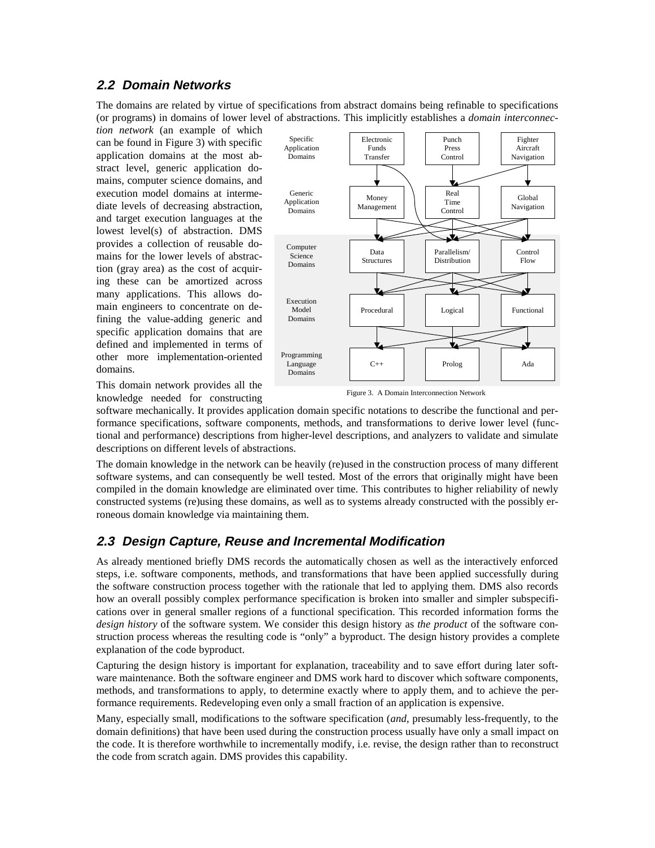#### **2.2 Domain Networks**

The domains are related by virtue of specifications from abstract domains being refinable to specifications (or programs) in domains of lower level of abstractions. This implicitly establishes a *domain interconnec-*

*tion network* (an example of which can be found in Figure 3) with specific application domains at the most abstract level, generic application domains, computer science domains, and execution model domains at intermediate levels of decreasing abstraction, and target execution languages at the lowest level(s) of abstraction. DMS provides a collection of reusable domains for the lower levels of abstraction (gray area) as the cost of acquiring these can be amortized across many applications. This allows domain engineers to concentrate on defining the value-adding generic and specific application domains that are defined and implemented in terms of other more implementation-oriented domains.

This domain network provides all the knowledge needed for constructing



Figure 3. A Domain Interconnection Network

software mechanically. It provides application domain specific notations to describe the functional and performance specifications, software components, methods, and transformations to derive lower level (functional and performance) descriptions from higher-level descriptions, and analyzers to validate and simulate descriptions on different levels of abstractions.

The domain knowledge in the network can be heavily (re)used in the construction process of many different software systems, and can consequently be well tested. Most of the errors that originally might have been compiled in the domain knowledge are eliminated over time. This contributes to higher reliability of newly constructed systems (re)using these domains, as well as to systems already constructed with the possibly erroneous domain knowledge via maintaining them.

#### **2.3 Design Capture, Reuse and Incremental Modification**

As already mentioned briefly DMS records the automatically chosen as well as the interactively enforced steps, i.e. software components, methods, and transformations that have been applied successfully during the software construction process together with the rationale that led to applying them. DMS also records how an overall possibly complex performance specification is broken into smaller and simpler subspecifications over in general smaller regions of a functional specification. This recorded information forms the *design history* of the software system. We consider this design history as *the product* of the software construction process whereas the resulting code is "only" a byproduct. The design history provides a complete explanation of the code byproduct.

Capturing the design history is important for explanation, traceability and to save effort during later software maintenance. Both the software engineer and DMS work hard to discover which software components, methods, and transformations to apply, to determine exactly where to apply them, and to achieve the performance requirements. Redeveloping even only a small fraction of an application is expensive.

Many, especially small, modifications to the software specification (*and*, presumably less-frequently, to the domain definitions) that have been used during the construction process usually have only a small impact on the code. It is therefore worthwhile to incrementally modify, i.e. revise, the design rather than to reconstruct the code from scratch again. DMS provides this capability.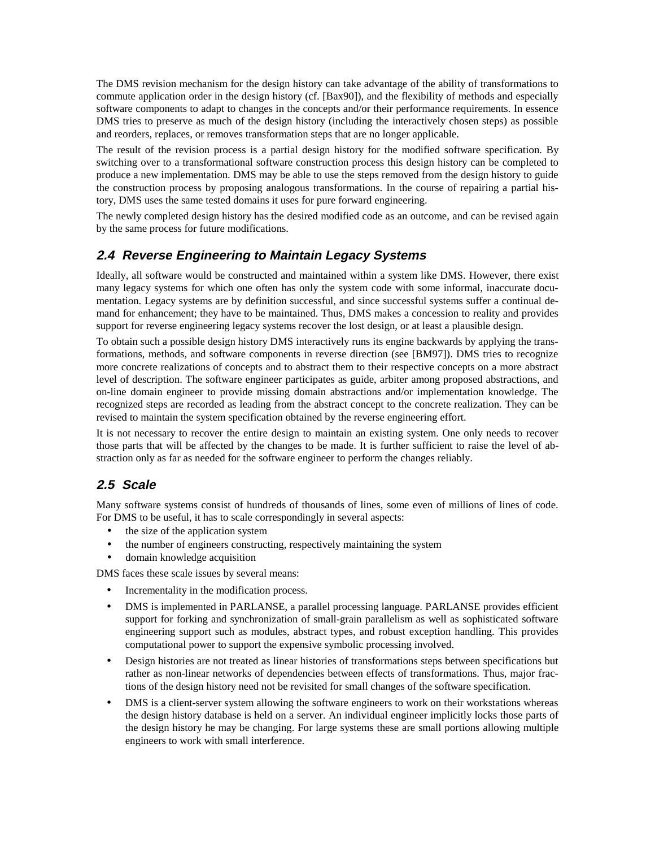The DMS revision mechanism for the design history can take advantage of the ability of transformations to commute application order in the design history (cf. [Bax90]), and the flexibility of methods and especially software components to adapt to changes in the concepts and/or their performance requirements. In essence DMS tries to preserve as much of the design history (including the interactively chosen steps) as possible and reorders, replaces, or removes transformation steps that are no longer applicable.

The result of the revision process is a partial design history for the modified software specification. By switching over to a transformational software construction process this design history can be completed to produce a new implementation. DMS may be able to use the steps removed from the design history to guide the construction process by proposing analogous transformations. In the course of repairing a partial history, DMS uses the same tested domains it uses for pure forward engineering.

The newly completed design history has the desired modified code as an outcome, and can be revised again by the same process for future modifications.

## **2.4 Reverse Engineering to Maintain Legacy Systems**

Ideally, all software would be constructed and maintained within a system like DMS. However, there exist many legacy systems for which one often has only the system code with some informal, inaccurate documentation. Legacy systems are by definition successful, and since successful systems suffer a continual demand for enhancement; they have to be maintained. Thus, DMS makes a concession to reality and provides support for reverse engineering legacy systems recover the lost design, or at least a plausible design.

To obtain such a possible design history DMS interactively runs its engine backwards by applying the transformations, methods, and software components in reverse direction (see [BM97]). DMS tries to recognize more concrete realizations of concepts and to abstract them to their respective concepts on a more abstract level of description. The software engineer participates as guide, arbiter among proposed abstractions, and on-line domain engineer to provide missing domain abstractions and/or implementation knowledge. The recognized steps are recorded as leading from the abstract concept to the concrete realization. They can be revised to maintain the system specification obtained by the reverse engineering effort.

It is not necessary to recover the entire design to maintain an existing system. One only needs to recover those parts that will be affected by the changes to be made. It is further sufficient to raise the level of abstraction only as far as needed for the software engineer to perform the changes reliably.

# **2.5 Scale**

Many software systems consist of hundreds of thousands of lines, some even of millions of lines of code. For DMS to be useful, it has to scale correspondingly in several aspects:

- the size of the application system
- the number of engineers constructing, respectively maintaining the system
- domain knowledge acquisition

DMS faces these scale issues by several means:

- Incrementality in the modification process.
- DMS is implemented in PARLANSE, a parallel processing language. PARLANSE provides efficient support for forking and synchronization of small-grain parallelism as well as sophisticated software engineering support such as modules, abstract types, and robust exception handling. This provides computational power to support the expensive symbolic processing involved.
- Design histories are not treated as linear histories of transformations steps between specifications but rather as non-linear networks of dependencies between effects of transformations. Thus, major fractions of the design history need not be revisited for small changes of the software specification.
- DMS is a client-server system allowing the software engineers to work on their workstations whereas the design history database is held on a server. An individual engineer implicitly locks those parts of the design history he may be changing. For large systems these are small portions allowing multiple engineers to work with small interference.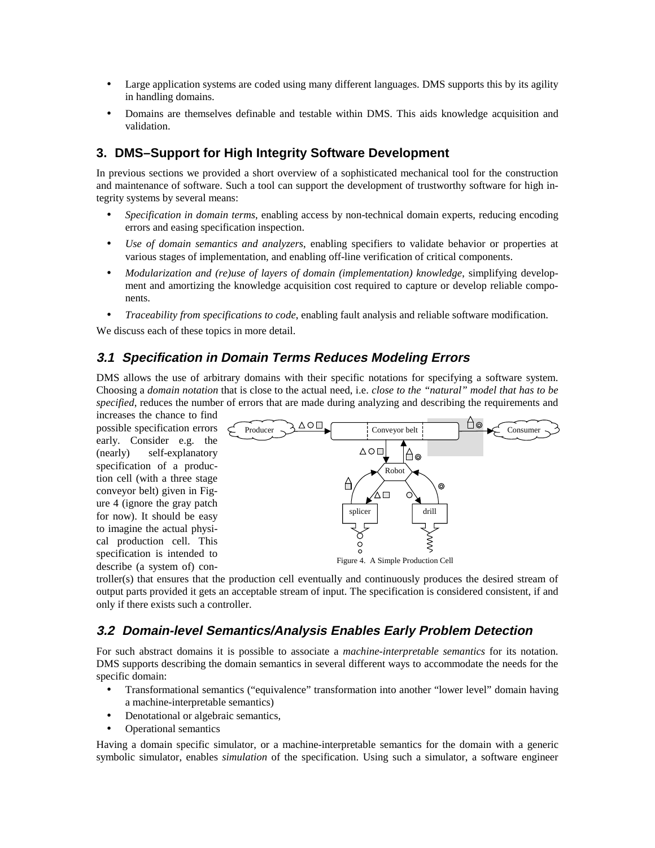- Large application systems are coded using many different languages. DMS supports this by its agility in handling domains.
- Domains are themselves definable and testable within DMS. This aids knowledge acquisition and validation.

### **3. DMS–Support for High Integrity Software Development**

In previous sections we provided a short overview of a sophisticated mechanical tool for the construction and maintenance of software. Such a tool can support the development of trustworthy software for high integrity systems by several means:

- *Specification in domain terms*, enabling access by non-technical domain experts, reducing encoding errors and easing specification inspection.
- *Use of domain semantics and analyzers*, enabling specifiers to validate behavior or properties at various stages of implementation, and enabling off-line verification of critical components.
- *Modularization and (re)use of layers of domain (implementation) knowledge*, simplifying development and amortizing the knowledge acquisition cost required to capture or develop reliable components.
- *Traceability from specifications to code*, enabling fault analysis and reliable software modification.

We discuss each of these topics in more detail.

### **3.1 Specification in Domain Terms Reduces Modeling Errors**

DMS allows the use of arbitrary domains with their specific notations for specifying a software system. Choosing a *domain notation* that is close to the actual need, i.e. *close to the "natural" model that has to be specified*, reduces the number of errors that are made during analyzing and describing the requirements and

increases the chance to find possible specification errors early. Consider e.g. the (nearly) self-explanatory specification of a production cell (with a three stage conveyor belt) given in Figure 4 (ignore the gray patch for now). It should be easy to imagine the actual physical production cell. This specification is intended to describe (a system of) con-



troller(s) that ensures that the production cell eventually and continuously produces the desired stream of output parts provided it gets an acceptable stream of input. The specification is considered consistent, if and only if there exists such a controller.

## **3.2 Domain-level Semantics/Analysis Enables Early Problem Detection**

For such abstract domains it is possible to associate a *machine-interpretable semantics* for its notation. DMS supports describing the domain semantics in several different ways to accommodate the needs for the specific domain:

- Transformational semantics ("equivalence" transformation into another "lower level" domain having a machine-interpretable semantics)
- Denotational or algebraic semantics,
- Operational semantics

Having a domain specific simulator, or a machine-interpretable semantics for the domain with a generic symbolic simulator, enables *simulation* of the specification. Using such a simulator, a software engineer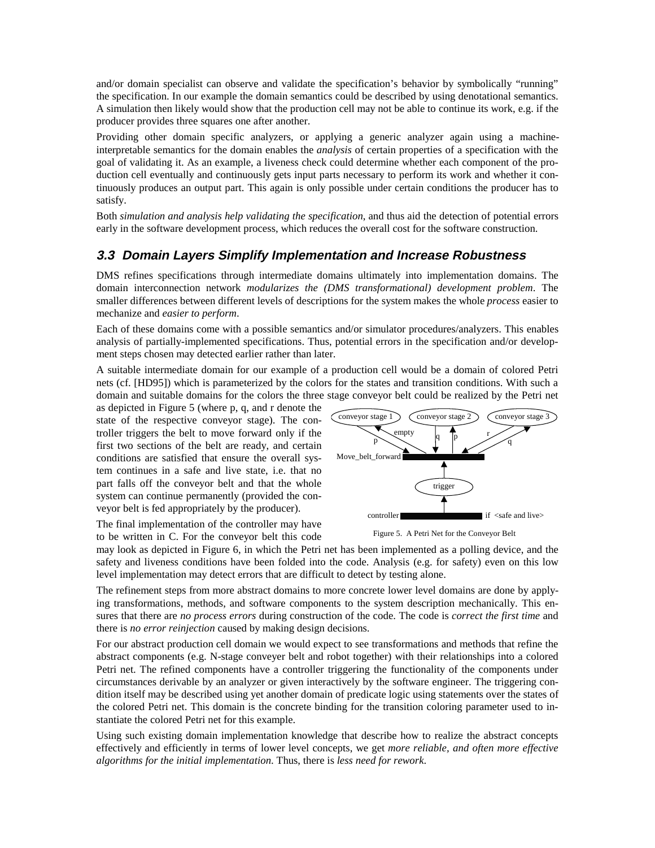and/or domain specialist can observe and validate the specification's behavior by symbolically "running" the specification. In our example the domain semantics could be described by using denotational semantics. A simulation then likely would show that the production cell may not be able to continue its work, e.g. if the producer provides three squares one after another.

Providing other domain specific analyzers, or applying a generic analyzer again using a machineinterpretable semantics for the domain enables the *analysis* of certain properties of a specification with the goal of validating it. As an example, a liveness check could determine whether each component of the production cell eventually and continuously gets input parts necessary to perform its work and whether it continuously produces an output part. This again is only possible under certain conditions the producer has to satisfy.

Both *simulation and analysis help validating the specification*, and thus aid the detection of potential errors early in the software development process, which reduces the overall cost for the software construction.

#### **3.3 Domain Layers Simplify Implementation and Increase Robustness**

DMS refines specifications through intermediate domains ultimately into implementation domains. The domain interconnection network *modularizes the (DMS transformational) development problem*. The smaller differences between different levels of descriptions for the system makes the whole *process* easier to mechanize and *easier to perform*.

Each of these domains come with a possible semantics and/or simulator procedures/analyzers. This enables analysis of partially-implemented specifications. Thus, potential errors in the specification and/or development steps chosen may detected earlier rather than later.

A suitable intermediate domain for our example of a production cell would be a domain of colored Petri nets (cf. [HD95]) which is parameterized by the colors for the states and transition conditions. With such a domain and suitable domains for the colors the three stage conveyor belt could be realized by the Petri net

as depicted in Figure 5 (where p, q, and r denote the state of the respective conveyor stage). The controller triggers the belt to move forward only if the first two sections of the belt are ready, and certain conditions are satisfied that ensure the overall system continues in a safe and live state, i.e. that no part falls off the conveyor belt and that the whole system can continue permanently (provided the conveyor belt is fed appropriately by the producer).

The final implementation of the controller may have to be written in C. For the conveyor belt this code



Figure 5. A Petri Net for the Conveyor Belt

may look as depicted in Figure 6, in which the Petri net has been implemented as a polling device, and the safety and liveness conditions have been folded into the code. Analysis (e.g. for safety) even on this low level implementation may detect errors that are difficult to detect by testing alone.

The refinement steps from more abstract domains to more concrete lower level domains are done by applying transformations, methods, and software components to the system description mechanically. This ensures that there are *no process errors* during construction of the code. The code is *correct the first time* and there is *no error reinjection* caused by making design decisions.

For our abstract production cell domain we would expect to see transformations and methods that refine the abstract components (e.g. N-stage conveyer belt and robot together) with their relationships into a colored Petri net. The refined components have a controller triggering the functionality of the components under circumstances derivable by an analyzer or given interactively by the software engineer. The triggering condition itself may be described using yet another domain of predicate logic using statements over the states of the colored Petri net. This domain is the concrete binding for the transition coloring parameter used to instantiate the colored Petri net for this example.

Using such existing domain implementation knowledge that describe how to realize the abstract concepts effectively and efficiently in terms of lower level concepts, we get *more reliable, and often more effective algorithms for the initial implementation*. Thus, there is *less need for rework*.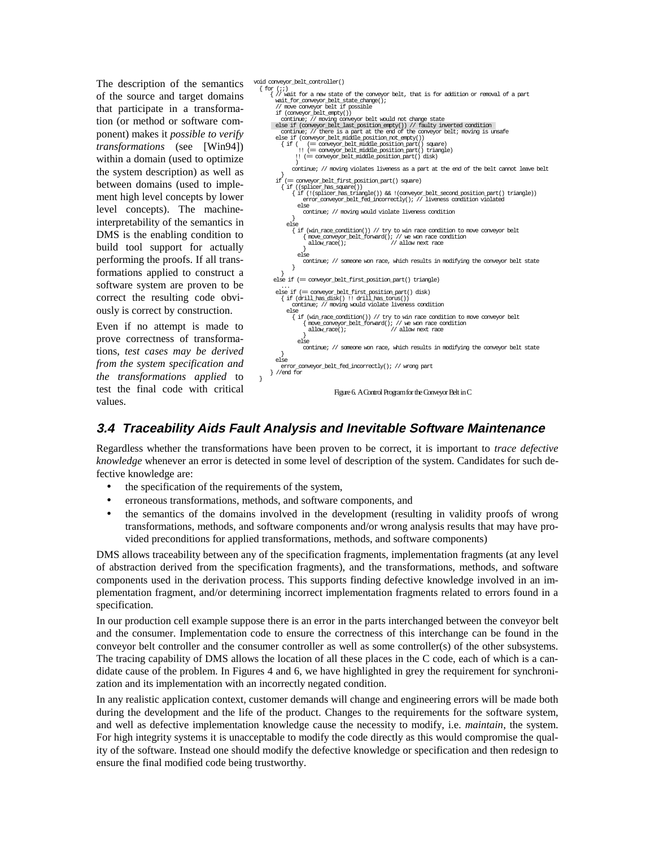The description of the semantics of the source and target domains that participate in a transformation (or method or software component) makes it *possible to verify transformations* (see [Win94]) within a domain (used to optimize the system description) as well as between domains (used to implement high level concepts by lower level concepts). The machineinterpretability of the semantics in DMS is the enabling condition to build tool support for actually performing the proofs. If all transformations applied to construct a software system are proven to be correct the resulting code obviously is correct by construction.

Even if no attempt is made to prove correctness of transformations, *test cases may be derived from the system specification and the transformations applied* to test the final code with critical values.

```
void conveyor_belt_controller()
   { for (;;)
{ // wait for a new state of the conveyor belt, that is for addition or removal of a part
          wait_for_conveyor_belt_state_change();
// move conveyor belt if possible
if (conveyor_belt_empty())
            continue; // moving conveyor belt would not change state
          else if (conveyor_belt_last_position_empty()) // faulty inverted condition
continue; // there is a part at the end of the conveyor belt; moving is unsafe
          else if (conveyor_belt_middle_position_not_empty())
{ if ( (== conveyor_belt_middle_position_part() square)
 !! (== conveyor_belt_middle_position_part() triangle)
                  !! (== conveyor_belt_middle_position_part() disk) )
                continue; // moving violates liveness as a part at the end of the belt cannot leave belt
         {\rm if}if (== conveyor_belt_first_position_part() square)
            { if ((splicer_has_square())
{ if (!(splicer_has_triangle()) && !(conveyor_belt_second_position_part() triangle))
                     error_conveyor_belt_fed_incorrectly(); // liveness condition violated
                   else
continue; // moving would violate liveness condition
              else<br>{ if (win_race_condition()) // try to win race condition to move conveyor belt
                      { move_conveyor_belt_forward(); // we won race condition
allow_race(); // allow next race
                   }
else
                    continue; // someone won race, which results in modifying the conveyor belt state
                }
     }
 else if (== conveyor_belt_first_position_part() triangle) ...
         else if (== conveyor_belt_first_position_part() disk)
            { if (drill_has_disk() !! drill_has_torus())
                 continue; // moving would violate liveness condition
              else
{ if (win_race_condition()) // try to win race condition to move conveyor belt
                     \{ move_conveyor_belt_forward(); // we won race condition allow_race(); // allow next race
                                                           allow_race(); // allow next race
                   }
else
                    continue; // someone won race, which results in modifying the conveyor belt state
          }
else
                   error_conveyor_belt_fed_incorrectly(); // wrong part
       } //end for
                                  Figure 6. A Control Program for the Conveyor Belt in C
```
## **3.4 Traceability Aids Fault Analysis and Inevitable Software Maintenance**

Regardless whether the transformations have been proven to be correct, it is important to *trace defective knowledge* whenever an error is detected in some level of description of the system. Candidates for such defective knowledge are:

- the specification of the requirements of the system,
- erroneous transformations, methods, and software components, and

}

• the semantics of the domains involved in the development (resulting in validity proofs of wrong transformations, methods, and software components and/or wrong analysis results that may have provided preconditions for applied transformations, methods, and software components)

DMS allows traceability between any of the specification fragments, implementation fragments (at any level of abstraction derived from the specification fragments), and the transformations, methods, and software components used in the derivation process. This supports finding defective knowledge involved in an implementation fragment, and/or determining incorrect implementation fragments related to errors found in a specification.

In our production cell example suppose there is an error in the parts interchanged between the conveyor belt and the consumer. Implementation code to ensure the correctness of this interchange can be found in the conveyor belt controller and the consumer controller as well as some controller(s) of the other subsystems. The tracing capability of DMS allows the location of all these places in the C code, each of which is a candidate cause of the problem. In Figures 4 and 6, we have highlighted in grey the requirement for synchronization and its implementation with an incorrectly negated condition.

In any realistic application context, customer demands will change and engineering errors will be made both during the development and the life of the product. Changes to the requirements for the software system, and well as defective implementation knowledge cause the necessity to modify, i.e. *maintain*, the system. For high integrity systems it is unacceptable to modify the code directly as this would compromise the quality of the software. Instead one should modify the defective knowledge or specification and then redesign to ensure the final modified code being trustworthy.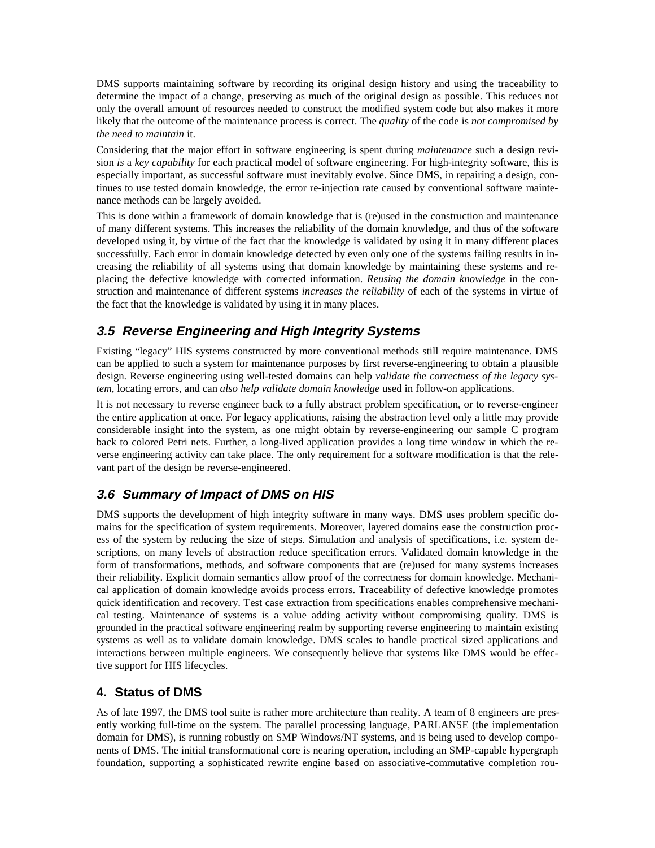DMS supports maintaining software by recording its original design history and using the traceability to determine the impact of a change, preserving as much of the original design as possible. This reduces not only the overall amount of resources needed to construct the modified system code but also makes it more likely that the outcome of the maintenance process is correct. The *quality* of the code is *not compromised by the need to maintain* it.

Considering that the major effort in software engineering is spent during *maintenance* such a design revision *is* a *key capability* for each practical model of software engineering. For high-integrity software, this is especially important, as successful software must inevitably evolve. Since DMS, in repairing a design, continues to use tested domain knowledge, the error re-injection rate caused by conventional software maintenance methods can be largely avoided.

This is done within a framework of domain knowledge that is (re)used in the construction and maintenance of many different systems. This increases the reliability of the domain knowledge, and thus of the software developed using it, by virtue of the fact that the knowledge is validated by using it in many different places successfully. Each error in domain knowledge detected by even only one of the systems failing results in increasing the reliability of all systems using that domain knowledge by maintaining these systems and replacing the defective knowledge with corrected information. *Reusing the domain knowledge* in the construction and maintenance of different systems *increases the reliability* of each of the systems in virtue of the fact that the knowledge is validated by using it in many places.

# **3.5 Reverse Engineering and High Integrity Systems**

Existing "legacy" HIS systems constructed by more conventional methods still require maintenance. DMS can be applied to such a system for maintenance purposes by first reverse-engineering to obtain a plausible design. Reverse engineering using well-tested domains can help *validate the correctness of the legacy system*, locating errors, and can *also help validate domain knowledge* used in follow-on applications.

It is not necessary to reverse engineer back to a fully abstract problem specification, or to reverse-engineer the entire application at once. For legacy applications, raising the abstraction level only a little may provide considerable insight into the system, as one might obtain by reverse-engineering our sample C program back to colored Petri nets. Further, a long-lived application provides a long time window in which the reverse engineering activity can take place. The only requirement for a software modification is that the relevant part of the design be reverse-engineered.

# **3.6 Summary of Impact of DMS on HIS**

DMS supports the development of high integrity software in many ways. DMS uses problem specific domains for the specification of system requirements. Moreover, layered domains ease the construction process of the system by reducing the size of steps. Simulation and analysis of specifications, i.e. system descriptions, on many levels of abstraction reduce specification errors. Validated domain knowledge in the form of transformations, methods, and software components that are (re)used for many systems increases their reliability. Explicit domain semantics allow proof of the correctness for domain knowledge. Mechanical application of domain knowledge avoids process errors. Traceability of defective knowledge promotes quick identification and recovery. Test case extraction from specifications enables comprehensive mechanical testing. Maintenance of systems is a value adding activity without compromising quality. DMS is grounded in the practical software engineering realm by supporting reverse engineering to maintain existing systems as well as to validate domain knowledge. DMS scales to handle practical sized applications and interactions between multiple engineers. We consequently believe that systems like DMS would be effective support for HIS lifecycles.

#### **4. Status of DMS**

As of late 1997, the DMS tool suite is rather more architecture than reality. A team of 8 engineers are presently working full-time on the system. The parallel processing language, PARLANSE (the implementation domain for DMS), is running robustly on SMP Windows/NT systems, and is being used to develop components of DMS. The initial transformational core is nearing operation, including an SMP-capable hypergraph foundation, supporting a sophisticated rewrite engine based on associative-commutative completion rou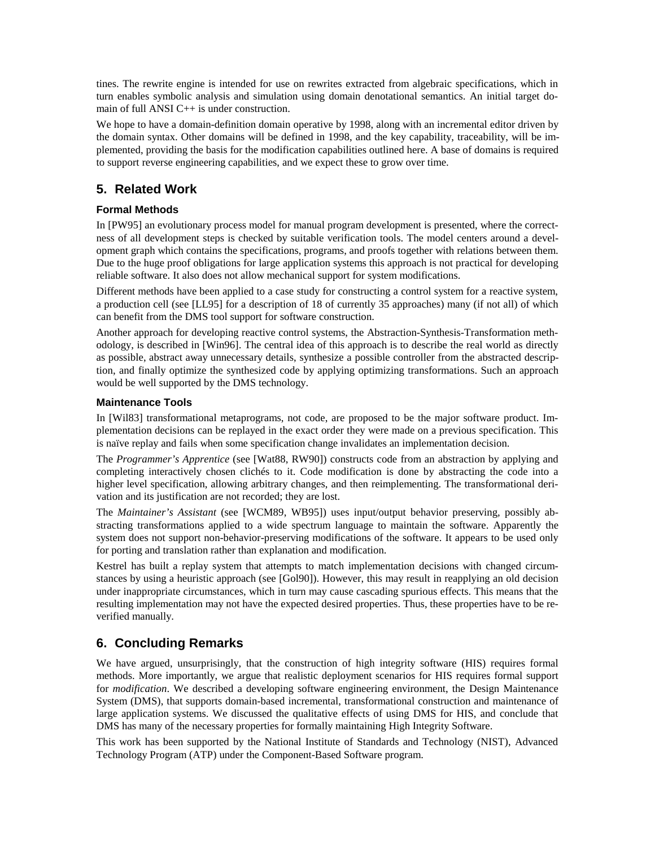tines. The rewrite engine is intended for use on rewrites extracted from algebraic specifications, which in turn enables symbolic analysis and simulation using domain denotational semantics. An initial target domain of full ANSI C<sup>++</sup> is under construction.

We hope to have a domain-definition domain operative by 1998, along with an incremental editor driven by the domain syntax. Other domains will be defined in 1998, and the key capability, traceability, will be implemented, providing the basis for the modification capabilities outlined here. A base of domains is required to support reverse engineering capabilities, and we expect these to grow over time.

# **5. Related Work**

#### **Formal Methods**

In [PW95] an evolutionary process model for manual program development is presented, where the correctness of all development steps is checked by suitable verification tools. The model centers around a development graph which contains the specifications, programs, and proofs together with relations between them. Due to the huge proof obligations for large application systems this approach is not practical for developing reliable software. It also does not allow mechanical support for system modifications.

Different methods have been applied to a case study for constructing a control system for a reactive system, a production cell (see [LL95] for a description of 18 of currently 35 approaches) many (if not all) of which can benefit from the DMS tool support for software construction.

Another approach for developing reactive control systems, the Abstraction-Synthesis-Transformation methodology, is described in [Win96]. The central idea of this approach is to describe the real world as directly as possible, abstract away unnecessary details, synthesize a possible controller from the abstracted description, and finally optimize the synthesized code by applying optimizing transformations. Such an approach would be well supported by the DMS technology.

#### **Maintenance Tools**

In [Wil83] transformational metaprograms, not code, are proposed to be the major software product. Implementation decisions can be replayed in the exact order they were made on a previous specification. This is naïve replay and fails when some specification change invalidates an implementation decision.

The *Programmer's Apprentice* (see [Wat88, RW90]) constructs code from an abstraction by applying and completing interactively chosen clichés to it. Code modification is done by abstracting the code into a higher level specification, allowing arbitrary changes, and then reimplementing. The transformational derivation and its justification are not recorded; they are lost.

The *Maintainer's Assistant* (see [WCM89, WB95]) uses input/output behavior preserving, possibly abstracting transformations applied to a wide spectrum language to maintain the software. Apparently the system does not support non-behavior-preserving modifications of the software. It appears to be used only for porting and translation rather than explanation and modification.

Kestrel has built a replay system that attempts to match implementation decisions with changed circumstances by using a heuristic approach (see [Gol90]). However, this may result in reapplying an old decision under inappropriate circumstances, which in turn may cause cascading spurious effects. This means that the resulting implementation may not have the expected desired properties. Thus, these properties have to be reverified manually.

# **6. Concluding Remarks**

We have argued, unsurprisingly, that the construction of high integrity software (HIS) requires formal methods. More importantly, we argue that realistic deployment scenarios for HIS requires formal support for *modification*. We described a developing software engineering environment, the Design Maintenance System (DMS), that supports domain-based incremental, transformational construction and maintenance of large application systems. We discussed the qualitative effects of using DMS for HIS, and conclude that DMS has many of the necessary properties for formally maintaining High Integrity Software.

This work has been supported by the National Institute of Standards and Technology (NIST), Advanced Technology Program (ATP) under the Component-Based Software program.